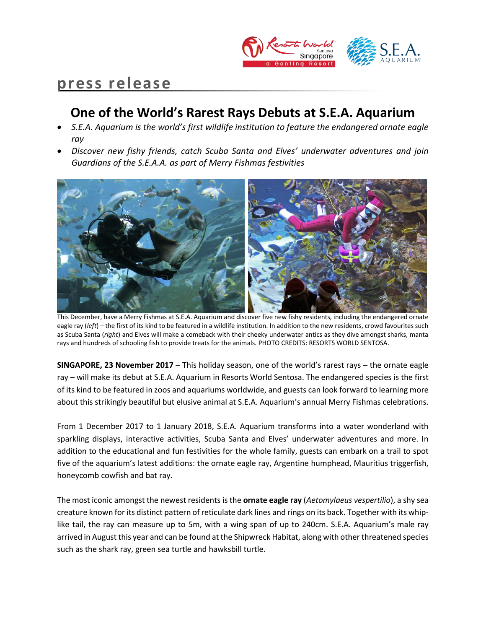

# **press release**

## **One of the World's Rarest Rays Debuts at S.E.A. Aquarium**

- *S.E.A. Aquarium is the world's first wildlife institution to feature the endangered ornate eagle ray*
- *Discover new fishy friends, catch Scuba Santa and Elves' underwater adventures and join Guardians of the S.E.A.A. as part of Merry Fishmas festivities*



This December, have a Merry Fishmas at S.E.A. Aquarium and discover five new fishy residents, including the endangered ornate eagle ray (*left*) – the first of its kind to be featured in a wildlife institution. In addition to the new residents, crowd favourites such as Scuba Santa (*right*) and Elves will make a comeback with their cheeky underwater antics as they dive amongst sharks, manta rays and hundreds of schooling fish to provide treats for the animals. PHOTO CREDITS: RESORTS WORLD SENTOSA.

**SINGAPORE, 23 November 2017** – This holiday season, one of the world's rarest rays – the ornate eagle ray – will make its debut at S.E.A. Aquarium in Resorts World Sentosa. The endangered species is the first of its kind to be featured in zoos and aquariums worldwide, and guests can look forward to learning more about this strikingly beautiful but elusive animal at S.E.A. Aquarium's annual Merry Fishmas celebrations.

From 1 December 2017 to 1 January 2018, S.E.A. Aquarium transforms into a water wonderland with sparkling displays, interactive activities, Scuba Santa and Elves' underwater adventures and more. In addition to the educational and fun festivities for the whole family, guests can embark on a trail to spot five of the aquarium's latest additions: the ornate eagle ray, Argentine humphead, Mauritius triggerfish, honeycomb cowfish and bat ray.

The most iconic amongst the newest residents is the **ornate eagle ray** (*Aetomylaeus vespertilio*), a shy sea creature known for its distinct pattern of reticulate dark lines and rings on its back. Together with its whiplike tail, the ray can measure up to 5m, with a wing span of up to 240cm. S.E.A. Aquarium's male ray arrived in August this year and can be found at the Shipwreck Habitat, along with other threatened species such as the shark ray, green sea turtle and hawksbill turtle.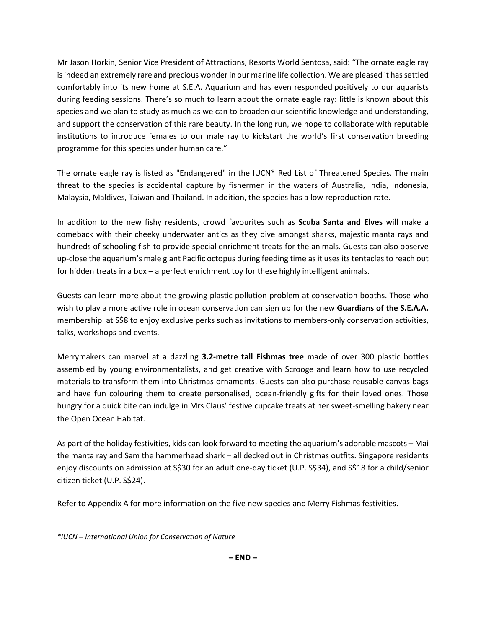Mr Jason Horkin, Senior Vice President of Attractions, Resorts World Sentosa, said: "The ornate eagle ray is indeed an extremely rare and precious wonder in our marine life collection. We are pleased it has settled comfortably into its new home at S.E.A. Aquarium and has even responded positively to our aquarists during feeding sessions. There's so much to learn about the ornate eagle ray: little is known about this species and we plan to study as much as we can to broaden our scientific knowledge and understanding, and support the conservation of this rare beauty. In the long run, we hope to collaborate with reputable institutions to introduce females to our male ray to kickstart the world's first conservation breeding programme for this species under human care."

The ornate eagle ray is listed as "Endangered" in the IUCN\* Red List of Threatened Species. The main threat to the species is accidental capture by fishermen in the waters of Australia, India, Indonesia, Malaysia, Maldives, Taiwan and Thailand. In addition, the species has a low reproduction rate.

In addition to the new fishy residents, crowd favourites such as **Scuba Santa and Elves** will make a comeback with their cheeky underwater antics as they dive amongst sharks, majestic manta rays and hundreds of schooling fish to provide special enrichment treats for the animals. Guests can also observe up-close the aquarium's male giant Pacific octopus during feeding time as it uses its tentacles to reach out for hidden treats in a box – a perfect enrichment toy for these highly intelligent animals.

Guests can learn more about the growing plastic pollution problem at conservation booths. Those who wish to play a more active role in ocean conservation can sign up for the new **Guardians of the S.E.A.A.** membership at S\$8 to enjoy exclusive perks such as invitations to members-only conservation activities, talks, workshops and events.

Merrymakers can marvel at a dazzling **3.2-metre tall Fishmas tree** made of over 300 plastic bottles assembled by young environmentalists, and get creative with Scrooge and learn how to use recycled materials to transform them into Christmas ornaments. Guests can also purchase reusable canvas bags and have fun colouring them to create personalised, ocean-friendly gifts for their loved ones. Those hungry for a quick bite can indulge in Mrs Claus' festive cupcake treats at her sweet-smelling bakery near the Open Ocean Habitat.

As part of the holiday festivities, kids can look forward to meeting the aquarium's adorable mascots – Mai the manta ray and Sam the hammerhead shark – all decked out in Christmas outfits. Singapore residents enjoy discounts on admission at S\$30 for an adult one-day ticket (U.P. S\$34), and S\$18 for a child/senior citizen ticket (U.P. S\$24).

Refer to Appendix A for more information on the five new species and Merry Fishmas festivities.

*\*IUCN – International Union for Conservation of Nature*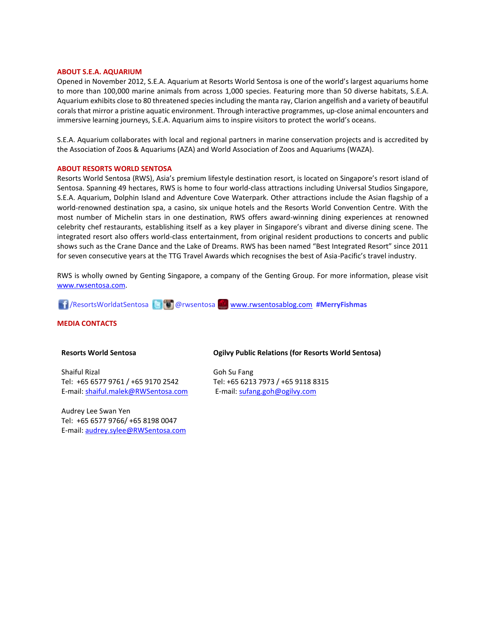### **ABOUT S.E.A. AQUARIUM**

Opened in November 2012, S.E.A. Aquarium at Resorts World Sentosa is one of the world's largest aquariums home to more than 100,000 marine animals from across 1,000 species. Featuring more than 50 diverse habitats, S.E.A. Aquarium exhibits close to 80 threatened species including the manta ray, Clarion angelfish and a variety of beautiful corals that mirror a pristine aquatic environment. Through interactive programmes, up-close animal encounters and immersive learning journeys, S.E.A. Aquarium aims to inspire visitors to protect the world's oceans.

S.E.A. Aquarium collaborates with local and regional partners in marine conservation projects and is accredited by the Association of Zoos & Aquariums (AZA) and World Association of Zoos and Aquariums (WAZA).

### **ABOUT RESORTS WORLD SENTOSA**

Resorts World Sentosa (RWS), Asia's premium lifestyle destination resort, is located on Singapore's resort island of Sentosa. Spanning 49 hectares, RWS is home to four world-class attractions including Universal Studios Singapore, S.E.A. Aquarium, Dolphin Island and Adventure Cove Waterpark. Other attractions include the Asian flagship of a world-renowned destination spa, a casino, six unique hotels and the Resorts World Convention Centre. With the most number of Michelin stars in one destination, RWS offers award-winning dining experiences at renowned celebrity chef restaurants, establishing itself as a key player in Singapore's vibrant and diverse dining scene. The integrated resort also offers world-class entertainment, from original resident productions to concerts and public shows such as the Crane Dance and the Lake of Dreams. RWS has been named "Best Integrated Resort" since 2011 for seven consecutive years at the TTG Travel Awards which recognises the best of Asia-Pacific's travel industry.

RWS is wholly owned by Genting Singapore, a company of the Genting Group. For more information, please visit [www.rwsentosa.com.](http://www.rwsentosa.com/)

/ResortsWorldatSentosa @rwsentosa [www.rwsentosablog.com](http://www.rwsentosablog.com/) **#MerryFishmas**

### **MEDIA CONTACTS**

### **Resorts World Sentosa**

Shaiful Rizal Tel: +65 6577 9761 / +65 9170 2542 E-mail[: shaiful.malek@RWSentosa.com](mailto:loolin.chua@RWSentosa.com)

Audrey Lee Swan Yen Tel: +65 6577 9766/ +65 8198 0047 E-mail[: audrey.sylee@RWSentosa.com](mailto:audrey.sylee@RWSentosa.com)

### **Ogilvy Public Relations (for Resorts World Sentosa)**

Goh Su Fang Tel: +65 6213 7973 / +65 9118 8315 E-mail: [sufang.goh@ogilvy.com](mailto:sufang.goh@ogilvy.com)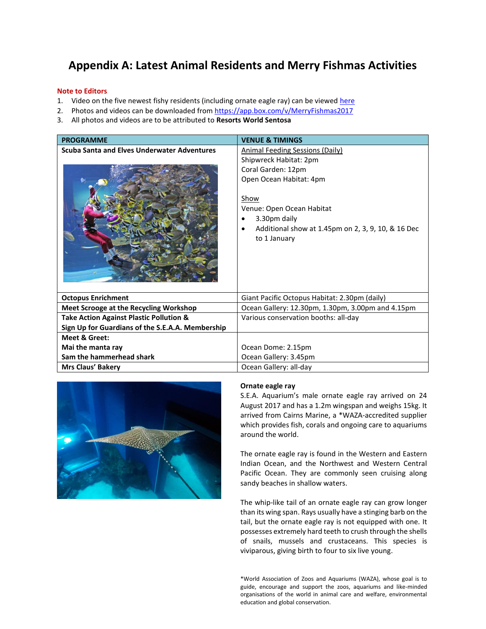### **Appendix A: Latest Animal Residents and Merry Fishmas Activities**

### **Note to Editors**

- 1. Video on the five newest fishy residents (including ornate eagle ray) can be viewed [here](https://youtu.be/dWk0NkVGZ-A)
- 2. Photos and videos can be downloaded fro[m https://app.box.com/v/MerryFishmas2017](https://app.box.com/v/MerryFishmas2017)
- 3. All photos and videos are to be attributed to **Resorts World Sentosa**

| <b>PROGRAMME</b>                                   | <b>VENUE &amp; TIMINGS</b>                                                                                                                                                                                                                   |
|----------------------------------------------------|----------------------------------------------------------------------------------------------------------------------------------------------------------------------------------------------------------------------------------------------|
| <b>Scuba Santa and Elves Underwater Adventures</b> | <b>Animal Feeding Sessions (Daily)</b><br>Shipwreck Habitat: 2pm<br>Coral Garden: 12pm<br>Open Ocean Habitat: 4pm<br>Show<br>Venue: Open Ocean Habitat<br>3.30pm daily<br>Additional show at 1.45pm on 2, 3, 9, 10, & 16 Dec<br>to 1 January |
| <b>Octopus Enrichment</b>                          | Giant Pacific Octopus Habitat: 2.30pm (daily)                                                                                                                                                                                                |
| <b>Meet Scrooge at the Recycling Workshop</b>      | Ocean Gallery: 12.30pm, 1.30pm, 3.00pm and 4.15pm                                                                                                                                                                                            |
| <b>Take Action Against Plastic Pollution &amp;</b> | Various conservation booths: all-day                                                                                                                                                                                                         |
| Sign Up for Guardians of the S.E.A.A. Membership   |                                                                                                                                                                                                                                              |
| Meet & Greet:                                      |                                                                                                                                                                                                                                              |
| Mai the manta ray                                  | Ocean Dome: 2.15pm                                                                                                                                                                                                                           |
| Sam the hammerhead shark                           | Ocean Gallery: 3.45pm                                                                                                                                                                                                                        |
| Mrs Claus' Bakery                                  | Ocean Gallery: all-day                                                                                                                                                                                                                       |



### **Ornate eagle ray**

S.E.A. Aquarium's male ornate eagle ray arrived on 24 August 2017 and has a 1.2m wingspan and weighs 15kg. It arrived from Cairns Marine, a \*WAZA-accredited supplier which provides fish, corals and ongoing care to aquariums around the world.

The ornate eagle ray is found in the Western and Eastern Indian Ocean, and the Northwest and Western Central Pacific Ocean. They are commonly seen cruising along sandy beaches in shallow waters.

The whip-like tail of an ornate eagle ray can grow longer than its wing span. Rays usually have a stinging barb on the tail, but the ornate eagle ray is not equipped with one. It possesses extremely hard teeth to crush through the shells of snails, mussels and crustaceans. This species is viviparous, giving birth to four to six live young.

\*World Association of Zoos and Aquariums (WAZA), whose goal is to guide, encourage and support the zoos, aquariums and like-minded organisations of the world in animal care and welfare, environmental education and global conservation.